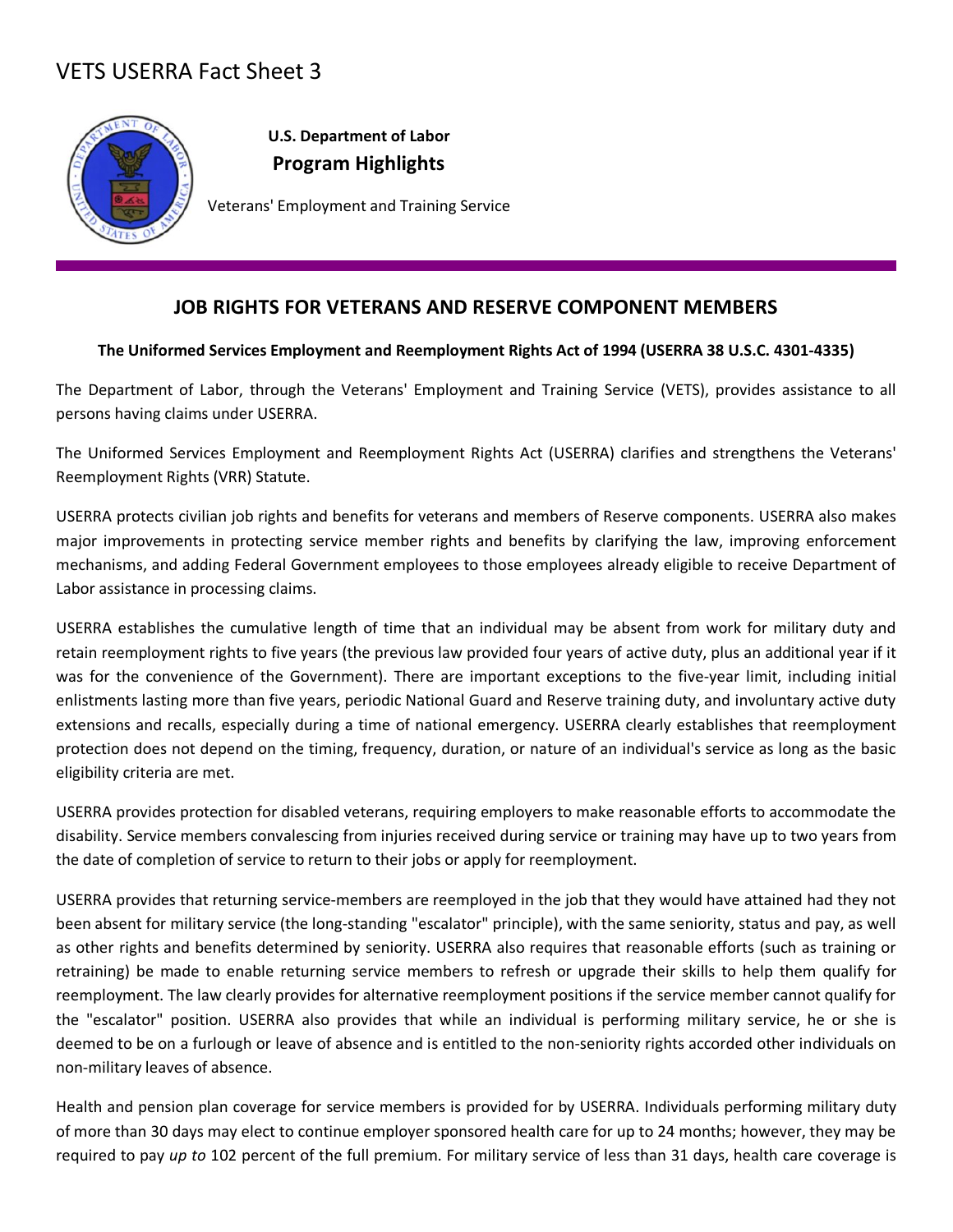## VETS USERRA Fact Sheet 3



**U.S. Department of Labor Program Highlights**

Veterans' Employment and Training Service

## **JOB RIGHTS FOR VETERANS AND RESERVE COMPONENT MEMBERS**

## **The Uniformed Services Employment and Reemployment Rights Act of 1994 (USERRA 38 U.S.C. 4301-4335)**

The Department of Labor, through the Veterans' Employment and Training Service (VETS), provides assistance to all persons having claims under USERRA.

The Uniformed Services Employment and Reemployment Rights Act (USERRA) clarifies and strengthens the Veterans' Reemployment Rights (VRR) Statute.

USERRA protects civilian job rights and benefits for veterans and members of Reserve components. USERRA also makes major improvements in protecting service member rights and benefits by clarifying the law, improving enforcement mechanisms, and adding Federal Government employees to those employees already eligible to receive Department of Labor assistance in processing claims.

USERRA establishes the cumulative length of time that an individual may be absent from work for military duty and retain reemployment rights to five years (the previous law provided four years of active duty, plus an additional year if it was for the convenience of the Government). There are important exceptions to the five-year limit, including initial enlistments lasting more than five years, periodic National Guard and Reserve training duty, and involuntary active duty extensions and recalls, especially during a time of national emergency. USERRA clearly establishes that reemployment protection does not depend on the timing, frequency, duration, or nature of an individual's service as long as the basic eligibility criteria are met.

USERRA provides protection for disabled veterans, requiring employers to make reasonable efforts to accommodate the disability. Service members convalescing from injuries received during service or training may have up to two years from the date of completion of service to return to their jobs or apply for reemployment.

USERRA provides that returning service-members are reemployed in the job that they would have attained had they not been absent for military service (the long-standing "escalator" principle), with the same seniority, status and pay, as well as other rights and benefits determined by seniority. USERRA also requires that reasonable efforts (such as training or retraining) be made to enable returning service members to refresh or upgrade their skills to help them qualify for reemployment. The law clearly provides for alternative reemployment positions if the service member cannot qualify for the "escalator" position. USERRA also provides that while an individual is performing military service, he or she is deemed to be on a furlough or leave of absence and is entitled to the non-seniority rights accorded other individuals on non-military leaves of absence.

Health and pension plan coverage for service members is provided for by USERRA. Individuals performing military duty of more than 30 days may elect to continue employer sponsored health care for up to 24 months; however, they may be required to pay *up to* 102 percent of the full premium. For military service of less than 31 days, health care coverage is